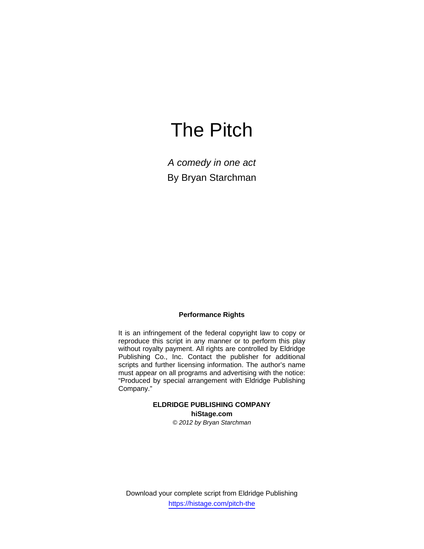# The Pitch

*A comedy in one act*  By Bryan Starchman

#### **Performance Rights**

It is an infringement of the federal copyright law to copy or reproduce this script in any manner or to perform this play without royalty payment. All rights are controlled by Eldridge Publishing Co., Inc. Contact the publisher for additional scripts and further licensing information. The author's name must appear on all programs and advertising with the notice: "Produced by special arrangement with Eldridge Publishing Company."

## **ELDRIDGE PUBLISHING COMPANY hiStage.com**

*© 2012 by Bryan Starchman* 

Download your complete script from Eldridge Publishing https://histage.com/pitch-the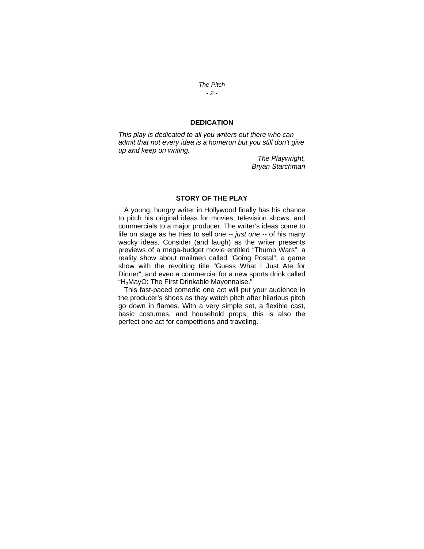*The Pitch - 2 -* 

#### **DEDICATION**

*This play is dedicated to all you writers out there who can admit that not every idea is a homerun but you still don't give up and keep on writing.* 

> *The Playwright, Bryan Starchman*

#### **STORY OF THE PLAY**

 A young, hungry writer in Hollywood finally has his chance to pitch his original ideas for movies, television shows, and commercials to a major producer. The writer's ideas come to life on stage as he tries to sell one -- *just one* -- of his many wacky ideas. Consider (and laugh) as the writer presents previews of a mega-budget movie entitled "Thumb Wars"; a reality show about mailmen called "Going Postal"; a game show with the revolting title "Guess What I Just Ate for Dinner"; and even a commercial for a new sports drink called "H2MayO: The First Drinkable Mayonnaise."

 This fast-paced comedic one act will put your audience in the producer's shoes as they watch pitch after hilarious pitch go down in flames. With a very simple set, a flexible cast, basic costumes, and household props, this is also the perfect one act for competitions and traveling.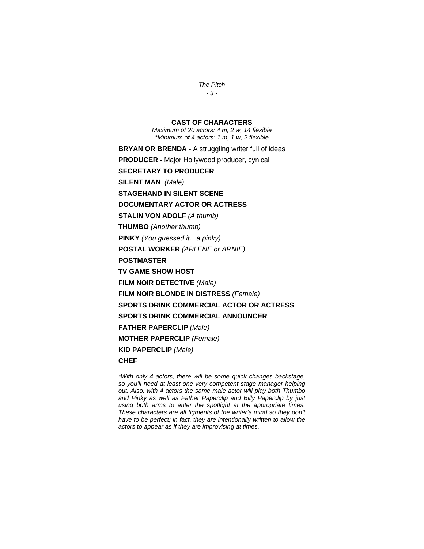*The Pitch - 3 -* 

#### **CAST OF CHARACTERS**

*Maximum of 20 actors: 4 m, 2 w, 14 flexible \*Minimum of 4 actors: 1 m, 1 w, 2 flexible* 

**BRYAN OR BRENDA -** A struggling writer full of ideas **PRODUCER** *-* Major Hollywood producer, cynical **SECRETARY TO PRODUCER** **SILENT MAN** *(Male)* **STAGEHAND IN SILENT SCENE DOCUMENTARY ACTOR OR ACTRESS STALIN VON ADOLF** *(A thumb)*  **THUMBO** *(Another thumb)*  **PINKY** *(You guessed it…a pinky)* **POSTAL WORKER** *(ARLENE or ARNIE)* **POSTMASTER TV GAME SHOW HOST FILM NOIR DETECTIVE** *(Male)* **FILM NOIR BLONDE IN DISTRESS** *(Female)* **SPORTS DRINK COMMERCIAL ACTOR OR ACTRESS SPORTS DRINK COMMERCIAL ANNOUNCER FATHER PAPERCLIP** *(Male)* **MOTHER PAPERCLIP** *(Female)* **KID PAPERCLIP** *(Male)* **CHEF** 

*\*With only 4 actors, there will be some quick changes backstage, so you'll need at least one very competent stage manager helping out. Also, with 4 actors the same male actor will play both Thumbo and Pinky as well as Father Paperclip and Billy Paperclip by just using both arms to enter the spotlight at the appropriate times. These characters are all figments of the writer's mind so they don't have to be perfect; in fact, they are intentionally written to allow the actors to appear as if they are improvising at times.*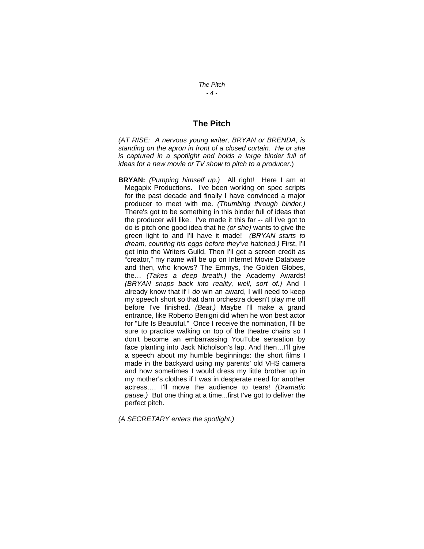#### **The Pitch**

*(AT RISE: A nervous young writer, BRYAN or BRENDA, is standing on the apron in front of a closed curtain. He or she is captured in a spotlight and holds a large binder full of ideas for a new movie or TV show to pitch to a producer*.)

**BRYAN:** *(Pumping himself up.)* All right! Here I am at Megapix Productions. I've been working on spec scripts for the past decade and finally I have convinced a major producer to meet with me. *(Thumbing through binder.)* There's got to be something in this binder full of ideas that the producer will like. I've made it this far -- all I've got to do is pitch one good idea that he *(or she)* wants to give the green light to and I'll have it made! *(BRYAN starts to dream, counting his eggs before they've hatched.)* First, I'll get into the Writers Guild. Then I'll get a screen credit as "creator," my name will be up on Internet Movie Database and then, who knows? The Emmys, the Golden Globes, the… *(Takes a deep breath.)* the Academy Awards! *(BRYAN snaps back into reality, well, sort of.)* And I already know that if I *do* win an award, I will need to keep my speech short so that darn orchestra doesn't play me off before I've finished. *(Beat.)* Maybe I'll make a grand entrance, like Roberto Benigni did when he won best actor for "Life Is Beautiful." Once I receive the nomination, I'll be sure to practice walking on top of the theatre chairs so I don't become an embarrassing YouTube sensation by face planting into Jack Nicholson's lap. And then...I'll give a speech about my humble beginnings: the short films I made in the backyard using my parents' old VHS camera and how sometimes I would dress my little brother up in my mother's clothes if I was in desperate need for another actress…. I'll move the audience to tears! *(Dramatic pause.)* But one thing at a time...first I've got to deliver the perfect pitch.

*(A SECRETARY enters the spotlight.)*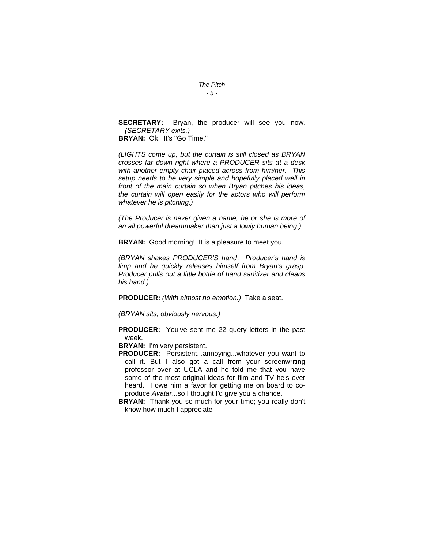#### *The Pitch - 5 -*

**SECRETARY:** Bryan, the producer will see you now. *(SECRETARY exits.)*

**BRYAN:** Ok! It's "Go Time."

*(LIGHTS come up, but the curtain is still closed as BRYAN crosses far down right where a PRODUCER sits at a desk with another empty chair placed across from him/her. This setup needs to be very simple and hopefully placed well in front of the main curtain so when Bryan pitches his ideas, the curtain will open easily for the actors who will perform whatever he is pitching.)* 

*(The Producer is never given a name; he or she is more of an all powerful dreammaker than just a lowly human being.)*

**BRYAN:** Good morning! It is a pleasure to meet you.

*(BRYAN shakes PRODUCER'S hand*. *Producer's hand is limp and he quickly releases himself from Bryan's grasp. Producer pulls out a little bottle of hand sanitizer and cleans his hand.)*

**PRODUCER:** *(With almost no emotion.)* Take a seat.

*(BRYAN sits, obviously nervous.)*

**PRODUCER:** You've sent me 22 query letters in the past week.

**BRYAN:** I'm very persistent.

**PRODUCER:** Persistent...annoying...whatever you want to call it. But I also got a call from your screenwriting professor over at UCLA and he told me that you have some of the most original ideas for film and TV he's ever heard. I owe him a favor for getting me on board to coproduce *Avatar*...so I thought I'd give you a chance.

**BRYAN:** Thank you so much for your time; you really don't know how much I appreciate —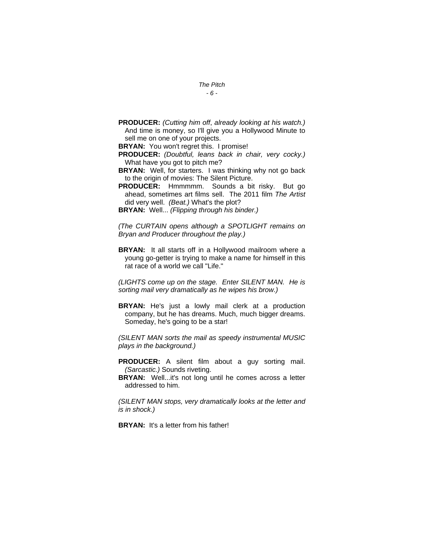- *The Pitch - 6 -*
- **PRODUCER:** *(Cutting him off*, *already looking at his watch.)* And time is money, so I'll give you a Hollywood Minute to sell me on one of your projects.

**BRYAN:** You won't regret this. I promise!

- **PRODUCER:** *(Doubtful, leans back in chair, very cocky.)* What have you got to pitch me?
- **BRYAN:** Well, for starters. I was thinking why not go back to the origin of movies: The Silent Picture.
- **PRODUCER:** Hmmmmm. Sounds a bit risky. But go ahead, sometimes art films sell. The 2011 film *The Artist* did very well. *(Beat.)* What's the plot?

**BRYAN:** Well... *(Flipping through his binder.)*

*(The CURTAIN opens although a SPOTLIGHT remains on Bryan and Producer throughout the play.)* 

**BRYAN:** It all starts off in a Hollywood mailroom where a young go-getter is trying to make a name for himself in this rat race of a world we call "Life."

*(LIGHTS come up on the stage. Enter SILENT MAN. He is sorting mail very dramatically as he wipes his brow.)*

**BRYAN:** He's just a lowly mail clerk at a production company, but he has dreams. Much, much bigger dreams. Someday, he's going to be a star!

*(SILENT MAN sorts the mail as speedy instrumental MUSIC plays in the background.)*

**PRODUCER:** A silent film about a guy sorting mail. *(Sarcastic.)* Sounds riveting.

**BRYAN:** Well...it's not long until he comes across a letter addressed to him.

*(SILENT MAN stops, very dramatically looks at the letter and is in shock.)* 

**BRYAN:** It's a letter from his father!